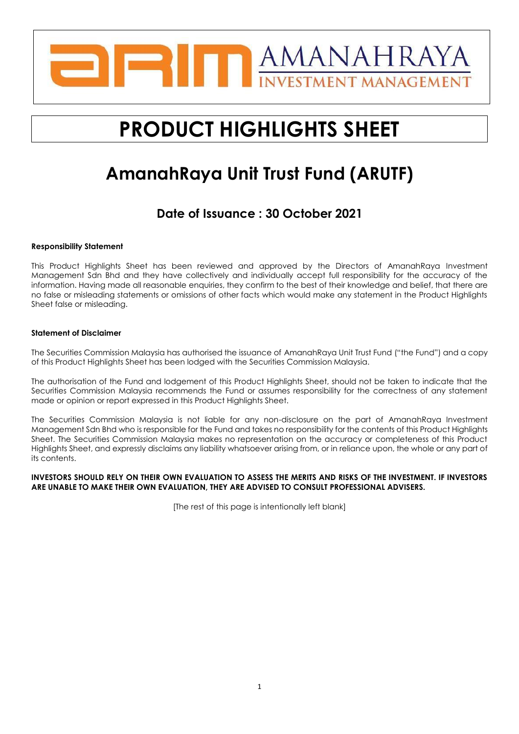

# **PRODUCT HIGHLIGHTS SHEET**

## **AmanahRaya Unit Trust Fund (ARUTF)**

## **Date of Issuance : 30 October 2021**

#### **Responsibility Statement**

This Product Highlights Sheet has been reviewed and approved by the Directors of AmanahRaya Investment Management Sdn Bhd and they have collectively and individually accept full responsibility for the accuracy of the information. Having made all reasonable enquiries, they confirm to the best of their knowledge and belief, that there are no false or misleading statements or omissions of other facts which would make any statement in the Product Highlights Sheet false or misleading.

#### **Statement of Disclaimer**

The Securities Commission Malaysia has authorised the issuance of AmanahRaya Unit Trust Fund ("the Fund") and a copy of this Product Highlights Sheet has been lodged with the Securities Commission Malaysia.

The authorisation of the Fund and lodgement of this Product Highlights Sheet, should not be taken to indicate that the Securities Commission Malaysia recommends the Fund or assumes responsibility for the correctness of any statement made or opinion or report expressed in this Product Highlights Sheet.

The Securities Commission Malaysia is not liable for any non-disclosure on the part of AmanahRaya Investment Management Sdn Bhd who is responsible for the Fund and takes no responsibility for the contents of this Product Highlights Sheet. The Securities Commission Malaysia makes no representation on the accuracy or completeness of this Product Highlights Sheet, and expressly disclaims any liability whatsoever arising from, or in reliance upon, the whole or any part of its contents.

#### **INVESTORS SHOULD RELY ON THEIR OWN EVALUATION TO ASSESS THE MERITS AND RISKS OF THE INVESTMENT. IF INVESTORS ARE UNABLE TO MAKE THEIR OWN EVALUATION, THEY ARE ADVISED TO CONSULT PROFESSIONAL ADVISERS.**

[The rest of this page is intentionally left blank]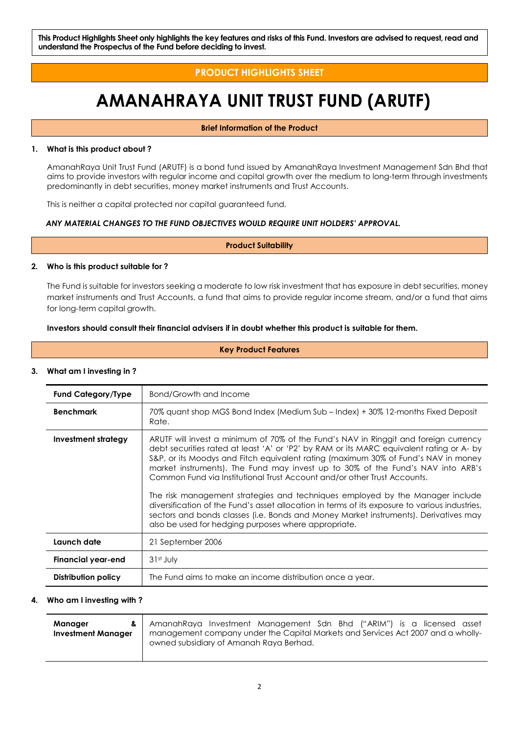**This Product Highlights Sheet only highlights the key features and risks of this Fund. Investors are advised to request, read and understand the Prospectus of the Fund before deciding to invest.**

### **PRODUCT HIGHLIGHTS SHEET**

## **AMANAHRAYA UNIT TRUST FUND (ARUTF)**

**Brief Information of the Product**

#### **1. What is this product about ?**

AmanahRaya Unit Trust Fund (ARUTF) is a bond fund issued by AmanahRaya Investment Management Sdn Bhd that aims to provide investors with regular income and capital growth over the medium to long-term through investments predominantly in debt securities, money market instruments and Trust Accounts.

This is neither a capital protected nor capital guaranteed fund.

#### *ANY MATERIAL CHANGES TO THE FUND OBJECTIVES WOULD REQUIRE UNIT HOLDERS' APPROVAL.*

**Product Suitability**

#### **2. Who is this product suitable for ?**

The Fund is suitable for investors seeking a moderate to low risk investment that has exposure in debt securities, money market instruments and Trust Accounts, a fund that aims to provide regular income stream, and/or a fund that aims for long-term capital growth.

#### **Investors should consult their financial advisers if in doubt whether this product is suitable for them.**

**Key Product Features**

#### **3. What am I investing in ?**

| <b>Fund Category/Type</b> | Bond/Growth and Income                                                                                                                                                                                                                                                                                                                                                                                                                                                                                                                                                                                                                                                                                                                                                   |  |  |  |  |
|---------------------------|--------------------------------------------------------------------------------------------------------------------------------------------------------------------------------------------------------------------------------------------------------------------------------------------------------------------------------------------------------------------------------------------------------------------------------------------------------------------------------------------------------------------------------------------------------------------------------------------------------------------------------------------------------------------------------------------------------------------------------------------------------------------------|--|--|--|--|
| <b>Benchmark</b>          | 70% quant shop MGS Bond Index (Medium Sub – Index) + 30% 12-months Fixed Deposit<br>Rate.                                                                                                                                                                                                                                                                                                                                                                                                                                                                                                                                                                                                                                                                                |  |  |  |  |
| Investment strategy       | ARUTF will invest a minimum of 70% of the Fund's NAV in Ringgit and foreign currency<br>debt securities rated at least 'A' or 'P2' by RAM or its MARC equivalent rating or A- by<br>S&P, or its Moodys and Fitch equivalent rating (maximum 30% of Fund's NAV in money<br>market instruments). The Fund may invest up to 30% of the Fund's NAV into ARB's<br>Common Fund via Institutional Trust Account and/or other Trust Accounts.<br>The risk management strategies and techniques employed by the Manager include<br>diversification of the Fund's asset allocation in terms of its exposure to various industries,<br>sectors and bonds classes (i.e. Bonds and Money Market instruments). Derivatives may<br>also be used for hedging purposes where appropriate. |  |  |  |  |
| Launch date               | 21 September 2006                                                                                                                                                                                                                                                                                                                                                                                                                                                                                                                                                                                                                                                                                                                                                        |  |  |  |  |
| <b>Financial year-end</b> | $31st$ July                                                                                                                                                                                                                                                                                                                                                                                                                                                                                                                                                                                                                                                                                                                                                              |  |  |  |  |
| Distribution policy       | The Fund aims to make an income distribution once a year.                                                                                                                                                                                                                                                                                                                                                                                                                                                                                                                                                                                                                                                                                                                |  |  |  |  |

#### **4. Who am I investing with ?**

| Manager<br>& l            | AmanahRaya Investment Management Sdn Bhd ("ARIM") is a licensed asset                                                       |  |  |  |  |
|---------------------------|-----------------------------------------------------------------------------------------------------------------------------|--|--|--|--|
| <b>Investment Manager</b> | management company under the Capital Markets and Services Act 2007 and a wholly-<br>owned subsidiary of Amanah Raya Berhad. |  |  |  |  |
|                           |                                                                                                                             |  |  |  |  |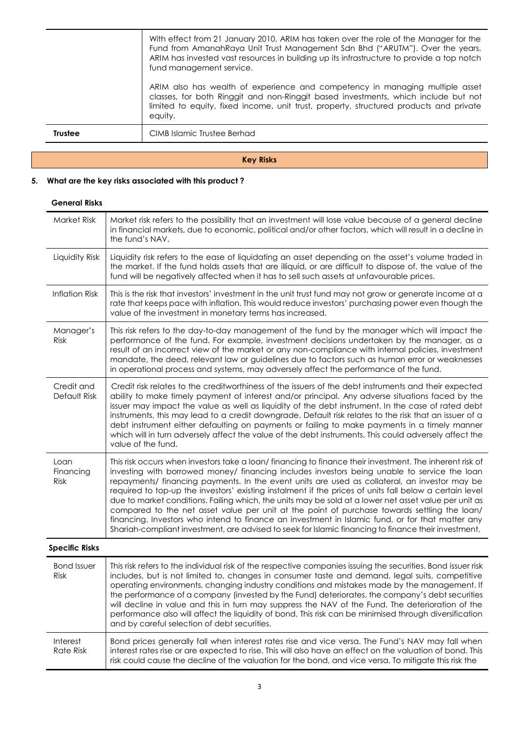|                | With effect from 21 January 2010, ARIM has taken over the role of the Manager for the<br>Fund from AmanahRaya Unit Trust Management Sdn Bhd ("ARUTM"). Over the years,<br>ARIM has invested vast resources in building up its infrastructure to provide a top notch<br>fund management service. |
|----------------|-------------------------------------------------------------------------------------------------------------------------------------------------------------------------------------------------------------------------------------------------------------------------------------------------|
|                | ARIM also has wealth of experience and competency in managing multiple asset<br>classes, for both Ringgit and non-Ringgit based investments, which include but not<br>limited to equity, fixed income, unit trust, property, structured products and private<br>equity.                         |
| <b>Trustee</b> | CIMB Islamic Trustee Berhad                                                                                                                                                                                                                                                                     |

#### **Key Risks**

### **5. What are the key risks associated with this product ?**

#### **General Risks**

| Market Risk                | Market risk refers to the possibility that an investment will lose value because of a general decline<br>in financial markets, due to economic, political and/or other factors, which will result in a decline in<br>the fund's NAV.                                                                                                                                                                                                                                                                                                                                                                                                                                                                                                                                                                                                      |
|----------------------------|-------------------------------------------------------------------------------------------------------------------------------------------------------------------------------------------------------------------------------------------------------------------------------------------------------------------------------------------------------------------------------------------------------------------------------------------------------------------------------------------------------------------------------------------------------------------------------------------------------------------------------------------------------------------------------------------------------------------------------------------------------------------------------------------------------------------------------------------|
| Liquidity Risk             | Liquidity risk refers to the ease of liquidating an asset depending on the asset's volume traded in<br>the market. If the fund holds assets that are illiquid, or are difficult to dispose of, the value of the<br>fund will be negatively affected when it has to sell such assets at unfavourable prices.                                                                                                                                                                                                                                                                                                                                                                                                                                                                                                                               |
| <b>Inflation Risk</b>      | This is the risk that investors' investment in the unit trust fund may not grow or generate income at a<br>rate that keeps pace with inflation. This would reduce investors' purchasing power even though the<br>value of the investment in monetary terms has increased.                                                                                                                                                                                                                                                                                                                                                                                                                                                                                                                                                                 |
| Manager's<br>Risk          | This risk refers to the day-to-day management of the fund by the manager which will impact the<br>performance of the fund. For example, investment decisions undertaken by the manager, as a<br>result of an incorrect view of the market or any non-compliance with internal policies, investment<br>mandate, the deed, relevant law or guidelines due to factors such as human error or weaknesses<br>in operational process and systems, may adversely affect the performance of the fund.                                                                                                                                                                                                                                                                                                                                             |
| Credit and<br>Default Risk | Credit risk relates to the creditworthiness of the issuers of the debt instruments and their expected<br>ability to make timely payment of interest and/or principal. Any adverse situations faced by the<br>issuer may impact the value as well as liquidity of the debt instrument. In the case of rated debt<br>instruments, this may lead to a credit downgrade. Default risk relates to the risk that an issuer of a<br>debt instrument either defaulting on payments or failing to make payments in a timely manner<br>which will in turn adversely affect the value of the debt instruments. This could adversely affect the<br>value of the fund.                                                                                                                                                                                 |
| Loan<br>Financing<br>Risk  | This risk occurs when investors take a loan/ financing to finance their investment. The inherent risk of<br>investing with borrowed money/ financing includes investors being unable to service the loan<br>repayments/ financing payments. In the event units are used as collateral, an investor may be<br>required to top-up the investors' existing instalment if the prices of units fall below a certain level<br>due to market conditions. Failing which, the units may be sold at a lower net asset value per unit as<br>compared to the net asset value per unit at the point of purchase towards settling the loan/<br>financing. Investors who intend to finance an investment in Islamic fund, or for that matter any<br>Shariah-compliant investment, are advised to seek for Islamic financing to finance their investment. |
| <b>Specific Risks</b>      |                                                                                                                                                                                                                                                                                                                                                                                                                                                                                                                                                                                                                                                                                                                                                                                                                                           |
| <b>Bond Issuer</b><br>Risk | This risk refers to the individual risk of the respective companies issuing the securities. Bond issuer risk<br>includes, but is not limited to, changes in consumer taste and demand, legal suits, competitive<br>operating environments, changing industry conditions and mistakes made by the management. If<br>the performance of a company (invested by the Fund) deteriorates, the company's debt securities<br>will decline in value and this in turn may suppress the NAV of the Fund. The deterioration of the<br>performance also will affect the liquidity of bond. This risk can be minimised through diversification<br>and by careful selection of debt securities.                                                                                                                                                         |
| Interest<br>Rate Risk      | Bond prices generally fall when interest rates rise and vice versa. The Fund's NAV may fall when<br>interest rates rise or are expected to rise. This will also have an effect on the valuation of bond. This<br>risk could cause the decline of the valuation for the bond, and vice versa. To mitigate this risk the                                                                                                                                                                                                                                                                                                                                                                                                                                                                                                                    |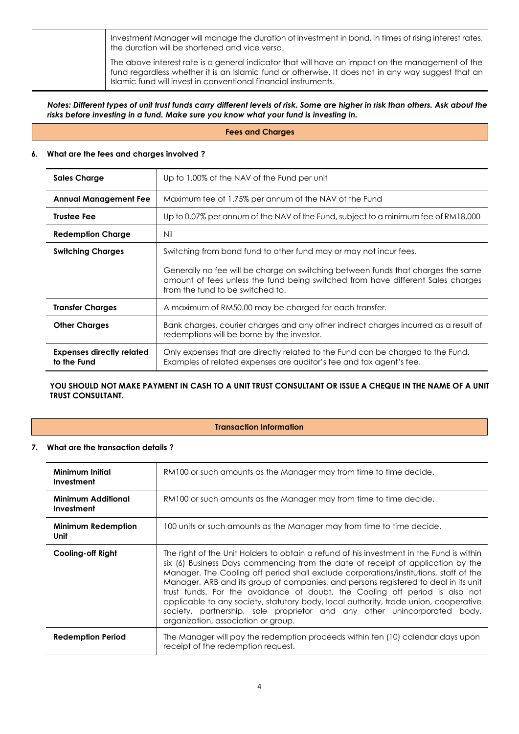Investment Manager will manage the duration of investment in bond. In times of rising interest rates, the duration will be shortened and vice versa.

The above interest rate is a general indicator that will have an impact on the management of the fund regardless whether it is an Islamic fund or otherwise. It does not in any way suggest that an Islamic fund will invest in conventional financial instruments.

*Notes: Different types of unit trust funds carry different levels of risk. Some are higher in risk than others. Ask about the risks before investing in a fund. Make sure you know what your fund is investing in.*

#### **Fees and Charges**

#### **6. What are the fees and charges involved ?**

| <b>Sales Charge</b>                             | Up to 1.00% of the NAV of the Fund per unit                                                                                                                                                             |  |  |  |
|-------------------------------------------------|---------------------------------------------------------------------------------------------------------------------------------------------------------------------------------------------------------|--|--|--|
| <b>Annual Management Fee</b>                    | Maximum fee of 1.75% per annum of the NAV of the Fund                                                                                                                                                   |  |  |  |
| <b>Trustee Fee</b>                              | Up to 0.07% per annum of the NAV of the Fund, subject to a minimum fee of RM18,000                                                                                                                      |  |  |  |
| <b>Redemption Charge</b>                        | Nil                                                                                                                                                                                                     |  |  |  |
| <b>Switching Charges</b>                        | Switching from bond fund to other fund may or may not incur fees.                                                                                                                                       |  |  |  |
|                                                 | Generally no fee will be charge on switching between funds that charges the same<br>amount of fees unless the fund being switched from have different Sales charges<br>from the fund to be switched to. |  |  |  |
| <b>Transfer Charges</b>                         | A maximum of RM50.00 may be charged for each transfer.                                                                                                                                                  |  |  |  |
| <b>Other Charges</b>                            | Bank charges, courier charges and any other indirect charges incurred as a result of<br>redemptions will be borne by the investor.                                                                      |  |  |  |
| <b>Expenses directly related</b><br>to the Fund | Only expenses that are directly related to the Fund can be charged to the Fund.<br>Examples of related expenses are auditor's fee and tax agent's fee.                                                  |  |  |  |

#### YOU SHOULD NOT MAKE PAYMENT IN CASH TO A UNIT TRUST CONSULTANT OR ISSUE A CHEQUE IN THE NAME OF A UNIT **TRUST CONSULTANT.**

#### **Transaction Information**

#### **7. What are the transaction details ?**

| Minimum Initial<br>Investment           | RM100 or such amounts as the Manager may from time to time decide.                                                                                                                                                                                                                                                                                                                                                                                                                                                                                                                                                                                    |
|-----------------------------------------|-------------------------------------------------------------------------------------------------------------------------------------------------------------------------------------------------------------------------------------------------------------------------------------------------------------------------------------------------------------------------------------------------------------------------------------------------------------------------------------------------------------------------------------------------------------------------------------------------------------------------------------------------------|
| <b>Minimum Additional</b><br>Investment | RM100 or such amounts as the Manager may from time to time decide.                                                                                                                                                                                                                                                                                                                                                                                                                                                                                                                                                                                    |
| <b>Minimum Redemption</b><br>Unit       | 100 units or such amounts as the Manager may from time to time decide.                                                                                                                                                                                                                                                                                                                                                                                                                                                                                                                                                                                |
| Cooling-off Right                       | The right of the Unit Holders to obtain a refund of his investment in the Fund is within<br>six (6) Business Days commencing from the date of receipt of application by the<br>Manager. The Cooling off period shall exclude corporations/institutions, staff of the<br>Manager, ARB and its group of companies, and persons registered to deal in its unit<br>trust funds. For the avoidance of doubt, the Cooling off period is also not<br>applicable to any society, statutory body, local authority, trade union, cooperative<br>society, partnership, sole proprietor and any other unincorporated body,<br>organization, association or group. |
| <b>Redemption Period</b>                | The Manager will pay the redemption proceeds within ten (10) calendar days upon<br>receipt of the redemption request.                                                                                                                                                                                                                                                                                                                                                                                                                                                                                                                                 |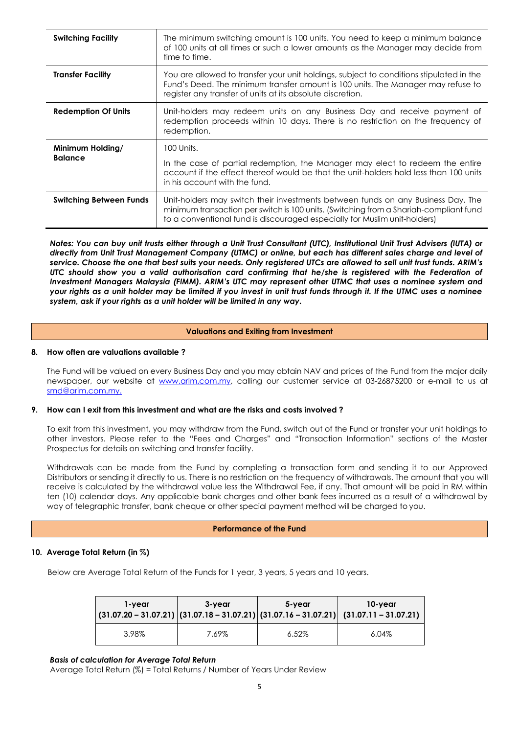| <b>Switching Facility</b>          | The minimum switching amount is 100 units. You need to keep a minimum balance<br>of 100 units at all times or such a lower amounts as the Manager may decide from<br>time to time.                                                                     |
|------------------------------------|--------------------------------------------------------------------------------------------------------------------------------------------------------------------------------------------------------------------------------------------------------|
| <b>Transfer Facility</b>           | You are allowed to transfer your unit holdings, subject to conditions stipulated in the<br>Fund's Deed. The minimum transfer amount is 100 units. The Manager may refuse to<br>register any transfer of units at its absolute discretion.              |
| <b>Redemption Of Units</b>         | Unit-holders may redeem units on any Business Day and receive payment of<br>redemption proceeds within 10 days. There is no restriction on the frequency of<br>redemption.                                                                             |
| Minimum Holding/<br><b>Balance</b> | 100 Units.<br>In the case of partial redemption, the Manager may elect to redeem the entire<br>account if the effect thereof would be that the unit-holders hold less than 100 units<br>in his account with the fund.                                  |
| <b>Switching Between Funds</b>     | Unit-holders may switch their investments between funds on any Business Day. The<br>minimum transaction per switch is 100 units. (Switching from a Shariah-compliant fund<br>to a conventional fund is discouraged especially for Muslim unit-holders) |

*Notes: You can buy unit trusts either through a Unit Trust Consultant (UTC), Institutional Unit Trust Advisers (IUTA) or directly from Unit Trust Management Company (UTMC) or online, but each has different sales charge and level of service. Choose the one that best suits your needs. Only registered UTCs are allowed to sell unit trust funds. ARIM's UTC should show you a valid authorisation card confirming that he/she is registered with the Federation of Investment Managers Malaysia (FIMM). ARIM's UTC may represent other UTMC that uses a nominee system and your rights as a unit holder may be limited if you invest in unit trust funds through it. If the UTMC uses a nominee system, ask if your rights as a unit holder will be limited in any way.*

#### **Valuations and Exiting from Investment**

#### **8. How often are valuations available ?**

The Fund will be valued on every Business Day and you may obtain NAV and prices of the Fund from the major daily newspaper, our website at [www.arim.com.my,](http://www.arim.com.my/) calling our customer service at 03-26875200 or e-mail to us at [smd@arim.com.my.](mailto:smd@arim.com.my.)

#### **9. How can I exit from this investment and what are the risks and costs involved ?**

To exit from this investment, you may withdraw from the Fund, switch out of the Fund or transfer your unit holdings to other investors. Please refer to the "Fees and Charges" and "Transaction Information" sections of the Master Prospectus for details on switching and transfer facility.

Withdrawals can be made from the Fund by completing a transaction form and sending it to our Approved Distributors or sending it directly to us. There is no restriction on the frequency of withdrawals. The amount that you will receive is calculated by the withdrawal value less the Withdrawal Fee, if any. That amount will be paid in RM within ten (10) calendar days. Any applicable bank charges and other bank fees incurred as a result of a withdrawal by way of telegraphic transfer, bank cheque or other special payment method will be charged to you.

#### **Performance of the Fund**

#### **10. Average Total Return (in %)**

Below are Average Total Return of the Funds for 1 year, 3 years, 5 years and 10 years.

| 1-year | 3-year | 5-year   | 10-year<br>$ (31.07.20 - 31.07.21) (31.07.18 - 31.07.21) (31.07.16 - 31.07.21) (31.07.11 - 31.07.21) $ |
|--------|--------|----------|--------------------------------------------------------------------------------------------------------|
| 3.98%  | 7.69%  | $6.52\%$ | $6.04\%$                                                                                               |

#### *Basis of calculation for Average Total Return*

Average Total Return (%) = Total Returns / Number of Years Under Review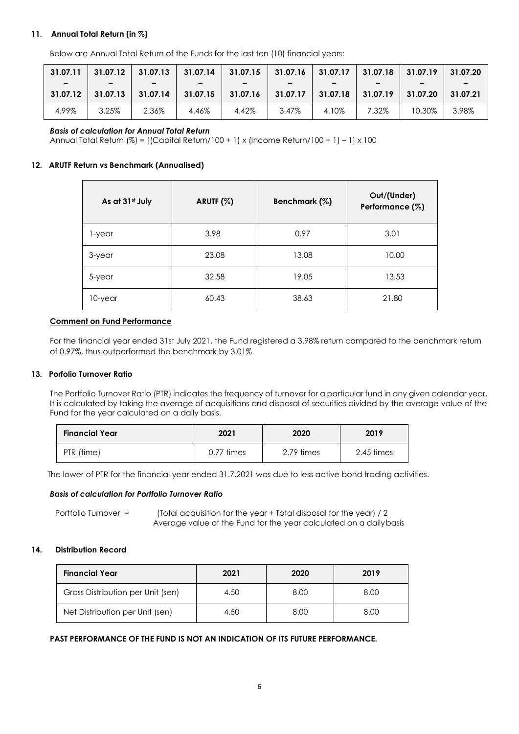#### **11. Annual Total Return (in %)**

Below are Annual Total Return of the Funds for the last ten (10) financial years:

| 31.07.11                             | 31.07.12 | 31.07.13                             | 31.07.14                             | $31.07.15$ 31.07.16 |                       | 31.07.17 | 31.07.18 | 31.07.19 | 31.07.20 |
|--------------------------------------|----------|--------------------------------------|--------------------------------------|---------------------|-----------------------|----------|----------|----------|----------|
| $\overline{\phantom{0}}$<br>31.07.12 | 31.07.13 | $\overline{\phantom{0}}$<br>31.07.14 | $\overline{\phantom{0}}$<br>31.07.15 | 31.07.16            | -<br>$\vert$ 31.07.17 | 31.07.18 | 31.07.19 | 31.07.20 | 31.07.21 |
| 4.99%                                | 3.25%    | 2.36%                                | 4.46%                                | 4.42%               | 3.47%                 | 4.10%    | 7.32%    | 10.30%   | 3.98%    |

#### *Basis of calculation for Annual Total Return*

Annual Total Return (%) = [(Capital Return/100 + 1) x (Income Return/100 + 1) – 1] x 100

#### **12. ARUTF Return vs Benchmark (Annualised)**

| As at 31st July | ARUTF (%)<br>Benchmark (%) |       | Out/(Under)<br>Performance (%) |  |
|-----------------|----------------------------|-------|--------------------------------|--|
| 1-year          | 3.98                       | 0.97  | 3.01                           |  |
| 3-year          | 23.08                      | 13.08 | 10.00                          |  |
| 5-year          | 32.58                      | 19.05 | 13.53                          |  |
| 10-year         | 60.43                      | 38.63 | 21.80                          |  |

#### **Comment on Fund Performance**

For the financial year ended 31st July 2021, the Fund registered a 3.98% return compared to the benchmark return of 0.97%, thus outperformed the benchmark by 3.01%.

#### **13. Porfolio Turnover Ratio**

The Portfolio Turnover Ratio (PTR) indicates the frequency of turnover for a particular fund in any given calendar year. It is calculated by taking the average of acquisitions and disposal of securities divided by the average value of the Fund for the year calculated on a daily basis.

| <b>Financial Year</b> | 2021            | 2020       | 2019       |
|-----------------------|-----------------|------------|------------|
| PTR (time)            | $0.77 \;$ times | 2.79 times | 2.45 times |

The lower of PTR for the financial year ended 31.7.2021 was due to less active bond trading activities.

#### *Basis of calculation for Portfolio Turnover Ratio*

Portfolio Turnover = (Total acquisition for the year + Total disposal for the year) / 2 Average value of the Fund for the year calculated on a dailybasis

#### **14. Distribution Record**

| <b>Financial Year</b>             | 2021 | 2020 | 2019 |
|-----------------------------------|------|------|------|
| Gross Distribution per Unit (sen) | 4.50 | 8.00 | 8.00 |
| Net Distribution per Unit (sen)   | 4.50 | 8.00 | 8.00 |

#### **PAST PERFORMANCE OF THE FUND IS NOT AN INDICATION OF ITS FUTURE PERFORMANCE.**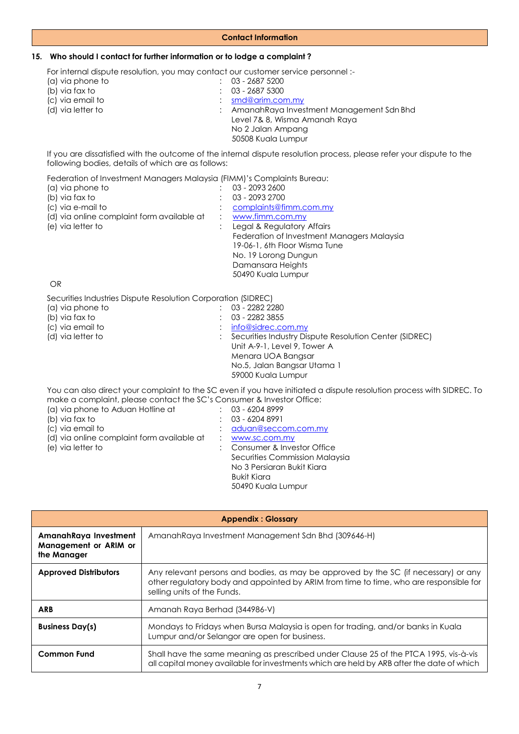#### **Contact Information**

#### **15. Who should I contact for further information or to lodge a complaint ?**

For internal dispute resolution, you may contact our customer service personnel :-

| $: 03 - 26875200$                          |
|--------------------------------------------|
| $: 03 - 26875300$                          |
| $:$ smd@arim.com.my                        |
| : AmanahRaya Investment Management Sdn Bhd |
| Level 7& 8, Wisma Amanah Raya              |
| No 2 Jalan Ampang                          |
| 50508 Kuala Lumpur                         |
|                                            |

If you are dissatisfied with the outcome of the internal dispute resolution process, please refer your dispute to the following bodies, details of which are as follows:

Federation of Investment Managers Malaysia (FIMM)'s Complaints Bureau:

| (a) via phone to                           |                      | 03 - 2093 2600                             |
|--------------------------------------------|----------------------|--------------------------------------------|
| (b) via fax to                             |                      | 03 - 2093 2700                             |
| (c) via e-mail to                          |                      | complaints@fimm.com.my                     |
| (d) via online complaint form available at | $\ddot{\phantom{0}}$ | www.fimm.com.my                            |
| (e) via letter to                          |                      | Legal & Regulatory Affairs                 |
|                                            |                      | Federation of Investment Managers Malaysia |
|                                            |                      | 19-06-1, 6th Floor Wisma Tune              |
|                                            |                      | No. 19 Lorong Dungun                       |
|                                            |                      | Damansara Heights                          |
|                                            |                      | 50490 Kuala Lumpur                         |
|                                            |                      |                                            |

OR

Securities Industries Dispute Resolution Corporation (SIDREC)

| 0000111100 11100911100 DISNOTO TROSOROTION TOORNOTI ROLL RECK |                                                                                                                      |
|---------------------------------------------------------------|----------------------------------------------------------------------------------------------------------------------|
| (a) via phone to                                              | 03 - 2282 2280                                                                                                       |
| (b) via fax to                                                | $: 03 - 22823855$                                                                                                    |
| (c) via email to                                              | $:$ info@sidrec.com.my                                                                                               |
| (d) via letter to                                             | : Securities Industry Dispute Resolution Center (SIDREC)                                                             |
|                                                               | Unit A-9-1, Level 9, Tower A                                                                                         |
|                                                               | Menara UOA Bangsar                                                                                                   |
|                                                               | No.5, Jalan Bangsar Utama 1                                                                                          |
|                                                               | 59000 Kuala Lumpur                                                                                                   |
|                                                               | You can also direct your complaint to the SC even if you have initiated a dispute resolution process with SIDREC. To |
|                                                               |                                                                                                                      |

| make a complaint, please contact the SC's Consumer & Investor Office: |                                |
|-----------------------------------------------------------------------|--------------------------------|
| (a) via phone to Aduan Hotline at                                     | 03 - 6204 8999                 |
| (b) via fax to                                                        | 03 - 6204 8991                 |
| (c) via email to                                                      | aduan@seccom.com.my            |
| (d) via online complaint form available at                            | www.sc.com.my                  |
| (e) via letter to                                                     | : Consumer & Investor Office   |
|                                                                       | Securities Commission Malaysia |
|                                                                       | No 3 Persiaran Bukit Kiara     |
|                                                                       | Bukit Kiara                    |
|                                                                       | 50490 Kuala Lumpur             |
|                                                                       |                                |

| <b>Appendix: Glossary</b>                                     |                                                                                                                                                                                                              |  |  |  |
|---------------------------------------------------------------|--------------------------------------------------------------------------------------------------------------------------------------------------------------------------------------------------------------|--|--|--|
| AmanahRaya Investment<br>Management or ARIM or<br>the Manager | Amanah Raya Investment Management Sdn Bhd (309646-H)                                                                                                                                                         |  |  |  |
| <b>Approved Distributors</b>                                  | Any relevant persons and bodies, as may be approved by the SC (if necessary) or any<br>other regulatory body and appointed by ARIM from time to time, who are responsible for<br>selling units of the Funds. |  |  |  |
| <b>ARB</b>                                                    | Amanah Raya Berhad (344986-V)                                                                                                                                                                                |  |  |  |
| <b>Business Day(s)</b>                                        | Mondays to Fridays when Bursa Malaysia is open for trading, and/or banks in Kuala<br>Lumpur and/or Selangor are open for business.                                                                           |  |  |  |
| <b>Common Fund</b>                                            | Shall have the same meaning as prescribed under Clause 25 of the PTCA 1995, vis-à-vis<br>all capital money available for investments which are held by ARB after the date of which                           |  |  |  |